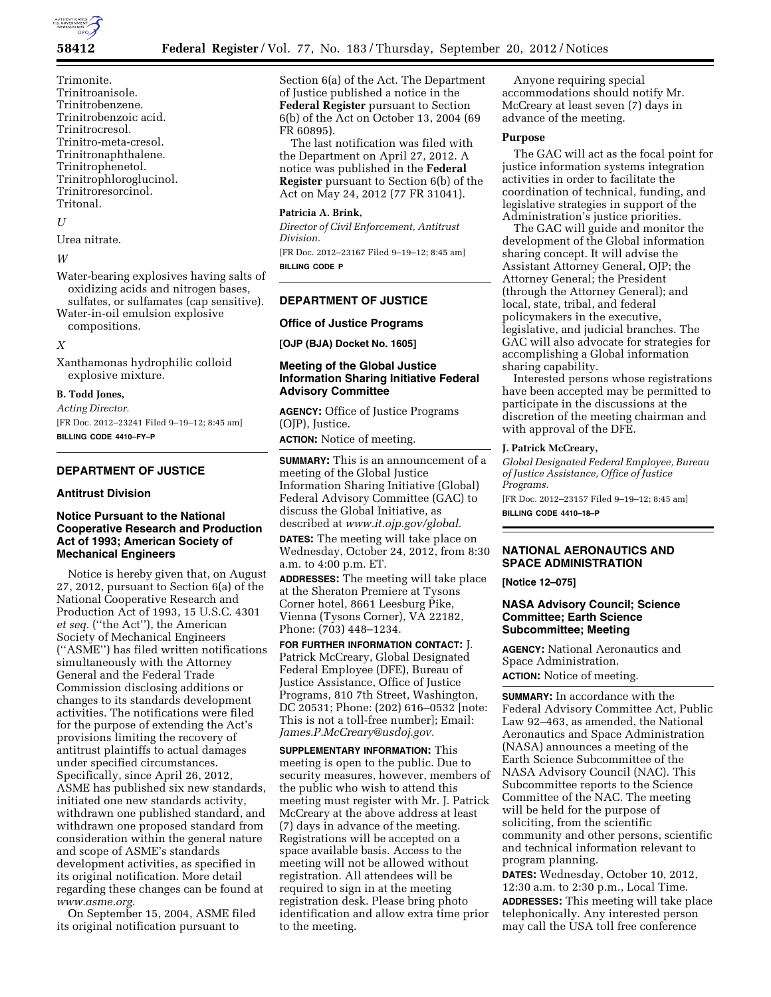

Trimonite. Trinitroanisole. Trinitrobenzene. Trinitrobenzoic acid. **Trinitrocresol** Trinitro-meta-cresol. Trinitronaphthalene. Trinitrophenetol. Trinitrophloroglucinol. Trinitroresorcinol. Tritonal.

#### $II$

Urea nitrate.

#### *M*

Water-bearing explosives having salts of oxidizing acids and nitrogen bases, sulfates, or sulfamates (cap sensitive). Water-in-oil emulsion explosive compositions.

## *X*

Xanthamonas hydrophilic colloid explosive mixture.

#### **B. Todd Jones,**

*Acting Director.* 

[FR Doc. 2012–23241 Filed 9–19–12; 8:45 am] **BILLING CODE 4410–FY–P** 

# **DEPARTMENT OF JUSTICE**

#### **Antitrust Division**

## **Notice Pursuant to the National Cooperative Research and Production Act of 1993; American Society of Mechanical Engineers**

Notice is hereby given that, on August 27, 2012, pursuant to Section 6(a) of the National Cooperative Research and Production Act of 1993, 15 U.S.C. 4301 *et seq.* (''the Act''), the American Society of Mechanical Engineers (''ASME'') has filed written notifications simultaneously with the Attorney General and the Federal Trade Commission disclosing additions or changes to its standards development activities. The notifications were filed for the purpose of extending the Act's provisions limiting the recovery of antitrust plaintiffs to actual damages under specified circumstances. Specifically, since April 26, 2012, ASME has published six new standards, initiated one new standards activity, withdrawn one published standard, and withdrawn one proposed standard from consideration within the general nature and scope of ASME's standards development activities, as specified in its original notification. More detail regarding these changes can be found at *[www.asme.org.](http://www.asme.org)* 

On September 15, 2004, ASME filed its original notification pursuant to

Section 6(a) of the Act. The Department of Justice published a notice in the **Federal Register** pursuant to Section 6(b) of the Act on October 13, 2004 (69 FR 60895).

The last notification was filed with the Department on April 27, 2012. A notice was published in the **Federal Register** pursuant to Section 6(b) of the Act on May 24, 2012 (77 FR 31041).

## **Patricia A. Brink,**

*Director of Civil Enforcement, Antitrust Division.* 

[FR Doc. 2012–23167 Filed 9–19–12; 8:45 am] **BILLING CODE P** 

### **DEPARTMENT OF JUSTICE**

#### **Office of Justice Programs**

**[OJP (BJA) Docket No. 1605]** 

# **Meeting of the Global Justice Information Sharing Initiative Federal Advisory Committee**

**AGENCY:** Office of Justice Programs (OJP), Justice.

**ACTION:** Notice of meeting.

**SUMMARY:** This is an announcement of a meeting of the Global Justice Information Sharing Initiative (Global) Federal Advisory Committee (GAC) to discuss the Global Initiative, as described at *[www.it.ojp.gov/global.](http://www.it.ojp.gov/global)* 

**DATES:** The meeting will take place on Wednesday, October 24, 2012, from 8:30 a.m. to 4:00 p.m. ET.

**ADDRESSES:** The meeting will take place at the Sheraton Premiere at Tysons Corner hotel, 8661 Leesburg Pike, Vienna (Tysons Corner), VA 22182, Phone: (703) 448–1234.

**FOR FURTHER INFORMATION CONTACT:** J. Patrick McCreary, Global Designated Federal Employee (DFE), Bureau of Justice Assistance, Office of Justice Programs, 810 7th Street, Washington, DC 20531; Phone: (202) 616–0532 [note: This is not a toll-free number]; Email: *[James.P.McCreary@usdoj.gov.](mailto:James.P.McCreary@usdoj.gov)* 

**SUPPLEMENTARY INFORMATION:** This meeting is open to the public. Due to security measures, however, members of the public who wish to attend this meeting must register with Mr. J. Patrick McCreary at the above address at least (7) days in advance of the meeting. Registrations will be accepted on a space available basis. Access to the meeting will not be allowed without registration. All attendees will be required to sign in at the meeting registration desk. Please bring photo identification and allow extra time prior to the meeting.

Anyone requiring special accommodations should notify Mr. McCreary at least seven (7) days in advance of the meeting.

#### **Purpose**

The GAC will act as the focal point for justice information systems integration activities in order to facilitate the coordination of technical, funding, and legislative strategies in support of the Administration's justice priorities.

The GAC will guide and monitor the development of the Global information sharing concept. It will advise the Assistant Attorney General, OJP; the Attorney General; the President (through the Attorney General); and local, state, tribal, and federal policymakers in the executive, legislative, and judicial branches. The GAC will also advocate for strategies for accomplishing a Global information sharing capability.

Interested persons whose registrations have been accepted may be permitted to participate in the discussions at the discretion of the meeting chairman and with approval of the DFE.

#### **J. Patrick McCreary,**

*Global Designated Federal Employee, Bureau of Justice Assistance, Office of Justice Programs.* 

[FR Doc. 2012–23157 Filed 9–19–12; 8:45 am] **BILLING CODE 4410–18–P** 

## **NATIONAL AERONAUTICS AND SPACE ADMINISTRATION**

**[Notice 12–075]** 

## **NASA Advisory Council; Science Committee; Earth Science Subcommittee; Meeting**

**AGENCY:** National Aeronautics and Space Administration. **ACTION:** Notice of meeting.

**SUMMARY:** In accordance with the Federal Advisory Committee Act, Public Law 92–463, as amended, the National Aeronautics and Space Administration (NASA) announces a meeting of the Earth Science Subcommittee of the NASA Advisory Council (NAC). This Subcommittee reports to the Science Committee of the NAC. The meeting will be held for the purpose of soliciting, from the scientific community and other persons, scientific and technical information relevant to program planning.

**DATES:** Wednesday, October 10, 2012, 12:30 a.m. to 2:30 p.m., Local Time. **ADDRESSES:** This meeting will take place telephonically. Any interested person may call the USA toll free conference